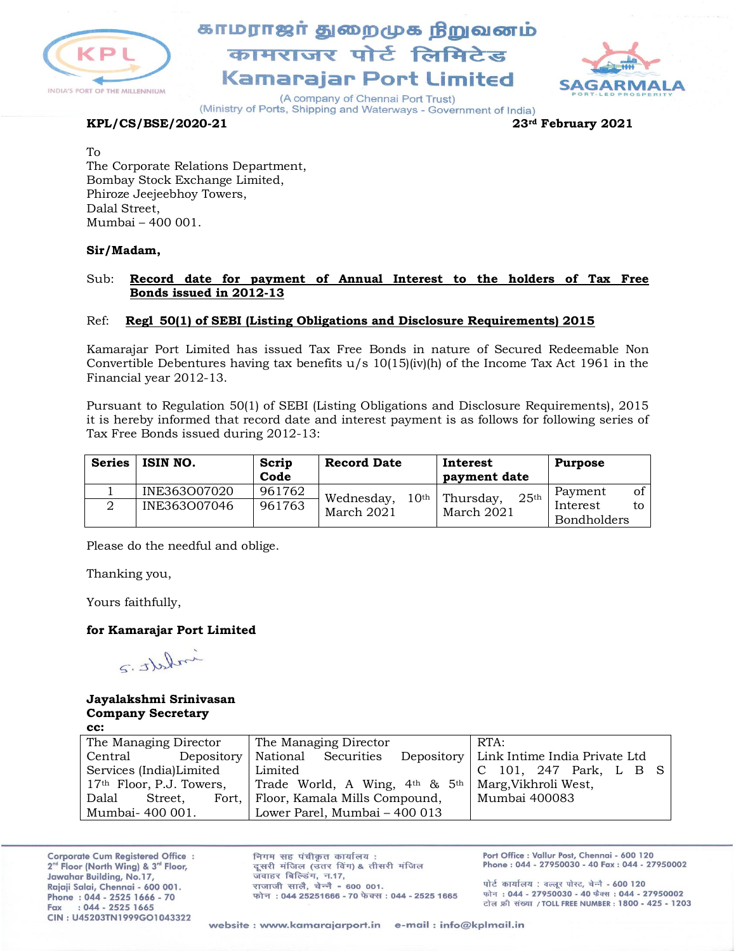

# காமராஜர் துறைமுக நிறுவனம் कामराजर पोर्ट लिमिटेड Kamarajar Port Limited



(A company of Chennai Port Trust) (Ministry of Ports, Shipping and Waterways - Government of India)

### **KPL/CS/BSE/2020-21 23rd February 2021**

To

The Corporate Relations Department, Bombay Stock Exchange Limited, Phiroze Jeejeebhoy Towers, Dalal Street, Mumbai – 400 001.

### **Sir/Madam,**

### Sub: **Record date for payment of Annual Interest to the holders of Tax Free Bonds issued in 2012-13**

### Ref: **Regl 50(1) of SEBI (Listing Obligations and Disclosure Requirements) 2015**

Kamarajar Port Limited has issued Tax Free Bonds in nature of Secured Redeemable Non Convertible Debentures having tax benefits  $u/s$  10(15)(iv)(h) of the Income Tax Act 1961 in the Financial year 2012-13.

Pursuant to Regulation 50(1) of SEBI (Listing Obligations and Disclosure Requirements), 2015 it is hereby informed that record date and interest payment is as follows for following series of Tax Free Bonds issued during 2012-13:

| <b>Series</b> | ISIN NO.                     | Scrip<br>Code    | <b>Record Date</b>                           | Interest<br>payment date                    | <b>Purpose</b>                                        |
|---------------|------------------------------|------------------|----------------------------------------------|---------------------------------------------|-------------------------------------------------------|
|               | INE363007020<br>INE363007046 | 961762<br>961763 | 10 <sup>th</sup><br>Wednesday,<br>March 2021 | 25 <sup>th</sup><br>Thursday,<br>March 2021 | of<br>Payment<br>Interest<br>tο<br><b>Bondholders</b> |

Please do the needful and oblige.

Thanking you,

Yours faithfully,

### **for Kamarajar Port Limited**

inhatt.2

#### **Jayalakshmi Srinivasan Company Secretary cc:**

| The Managing Director      | The Managing Director<br>RTA:                                               |  |
|----------------------------|-----------------------------------------------------------------------------|--|
| Depository<br>Central      | Depository   Link Intime India Private Ltd<br>National Securities           |  |
| Services (India)Limited    | Limited<br>C 101, 247 Park, L B S                                           |  |
| $17th$ Floor, P.J. Towers, | Trade World, A Wing, 4 <sup>th</sup> & 5 <sup>th</sup> Marg, Vikhroli West, |  |
| Dalal<br>Street.           | Mumbai 400083<br>Fort, Floor, Kamala Mills Compound,                        |  |
| Mumbai- 400 001.           | Lower Parel, Mumbai - 400 013                                               |  |

**Corporate Cum Registered Office:** 2<sup>nd</sup> Floor (North Wing) & 3<sup>rd</sup> Floor, Jawahar Building, No.17, Rajaji Salai, Chennai - 600 001. Phone: 044 - 2525 1666 - 70  $: 044 - 2525$  1665 Fax CIN: U45203TN1999GO1043322

निगम सह पंचीकृत कार्यालय: दूसरी मंजिल (उतर विंग) & तीसरी मंजिल जवाहर बिल्डिंग, न.17, राजाजी सालै. चेन्नै - 600 001. फोन: 044 25251666 - 70 फेक्स: 044 - 2525 1665 Port Office : Vallur Post, Chennai - 600 120 Phone: 044 - 27950030 - 40 Fax: 044 - 27950002

पोर्ट कार्यालय: वल्लूर पोस्ट, चेन्नै - 600 120 फोन: 044 - 27950030 - 40 फैक्स: 044 - 27950002 टोल फ्री संख्या / TOLL FREE NUMBER: 1800 - 425 - 1203

website : www.kamarajarport.in e-mail : info@kplmail.in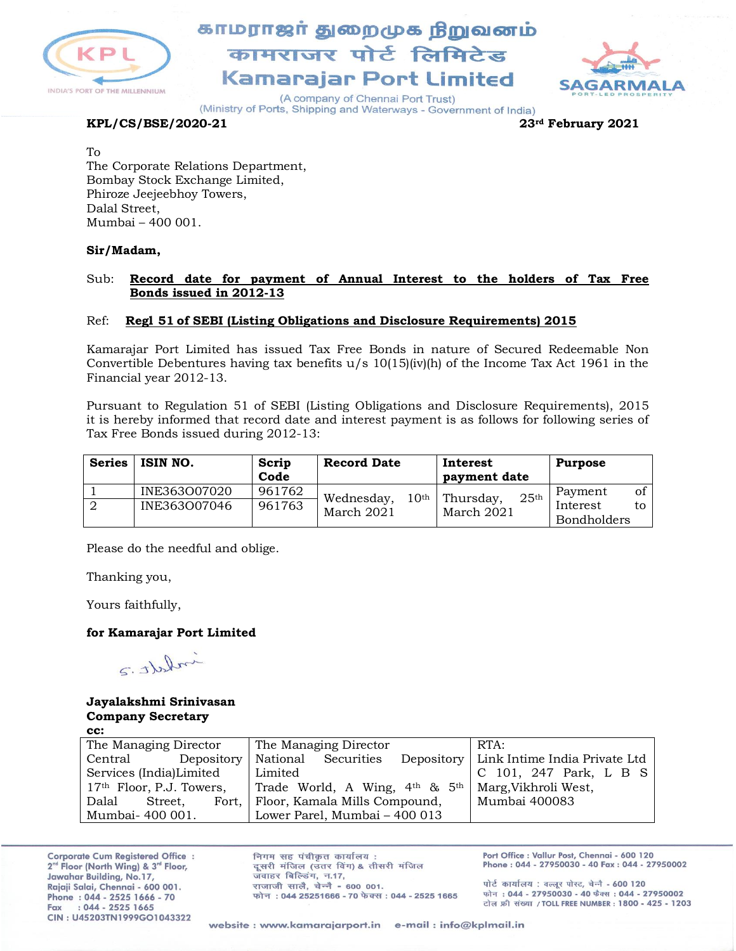

# காமராஜர் துறைமுக நிறுவனம் कामराजर पोर्ट लिमिटेड **Kamarajar Port Limited**



(A company of Chennai Port Trust) (Ministry of Ports, Shipping and Waterways - Government of India)

### **KPL/CS/BSE/2020-21 23rd February 2021**

To

The Corporate Relations Department, Bombay Stock Exchange Limited, Phiroze Jeejeebhoy Towers, Dalal Street, Mumbai – 400 001.

### **Sir/Madam,**

### Sub: **Record date for payment of Annual Interest to the holders of Tax Free Bonds issued in 2012-13**

### Ref: **Regl 51 of SEBI (Listing Obligations and Disclosure Requirements) 2015**

Kamarajar Port Limited has issued Tax Free Bonds in nature of Secured Redeemable Non Convertible Debentures having tax benefits  $u/s$  10(15)(iv)(h) of the Income Tax Act 1961 in the Financial year 2012-13.

Pursuant to Regulation 51 of SEBI (Listing Obligations and Disclosure Requirements), 2015 it is hereby informed that record date and interest payment is as follows for following series of Tax Free Bonds issued during 2012-13:

| <b>Series</b> | ISIN NO.     | Scrip<br>Code | <b>Record Date</b>             | Interest<br>payment date      | <b>Purpose</b>                       |
|---------------|--------------|---------------|--------------------------------|-------------------------------|--------------------------------------|
|               | INE363O07020 | 961762        | 10 <sup>th</sup><br>Wednesday, | Thursday,<br>25 <sup>th</sup> | of<br>Payment                        |
| - 2           | INE363007046 | 961763        | March 2021                     | March 2021                    | Interest<br>to<br><b>Bondholders</b> |

Please do the needful and oblige.

Thanking you,

Yours faithfully,

### **for Kamarajar Port Limited**

indett.2

### **Jayalakshmi Srinivasan Company Secretary**

| ۰.<br>I<br>×<br>×<br>۰.<br>۰.<br>v<br>× |  |
|-----------------------------------------|--|
|                                         |  |

| The Managing Director      |         | RTA:<br>The Managing Director                                                  |  |
|----------------------------|---------|--------------------------------------------------------------------------------|--|
| Central                    |         | Depository   Link Intime India Private Ltd<br>Depository   National Securities |  |
| Services (India)Limited    |         | Limited<br>C 101, 247 Park, L B S                                              |  |
| $17th$ Floor, P.J. Towers, |         | Trade World, A Wing, 4 <sup>th</sup> & 5 <sup>th</sup> Marg, Vikhroli West,    |  |
| Dalal                      | Street. | Fort, Floor, Kamala Mills Compound,<br>Mumbai 400083                           |  |
| Mumbai- 400 001.           |         | Lower Parel, Mumbai - 400 013                                                  |  |

**Corporate Cum Registered Office:** 2<sup>nd</sup> Floor (North Wing) & 3<sup>rd</sup> Floor, Jawahar Building, No.17, Rajaji Salai, Chennai - 600 001. Phone: 044 - 2525 1666 - 70  $: 044 - 2525$  1665 Fax CIN: U45203TN1999GO1043322

निगम सह पंचीकृत कार्यालय: दूसरी मंजिल (उतर विंग) & तीसरी मंजिल जवाहर बिल्डिंग, न.17, राजाजी सालै. चेन्नै - 600 001. फोन: 044 25251666 - 70 फेक्स: 044 - 2525 1665 Port Office : Vallur Post, Chennai - 600 120 Phone: 044 - 27950030 - 40 Fax: 044 - 27950002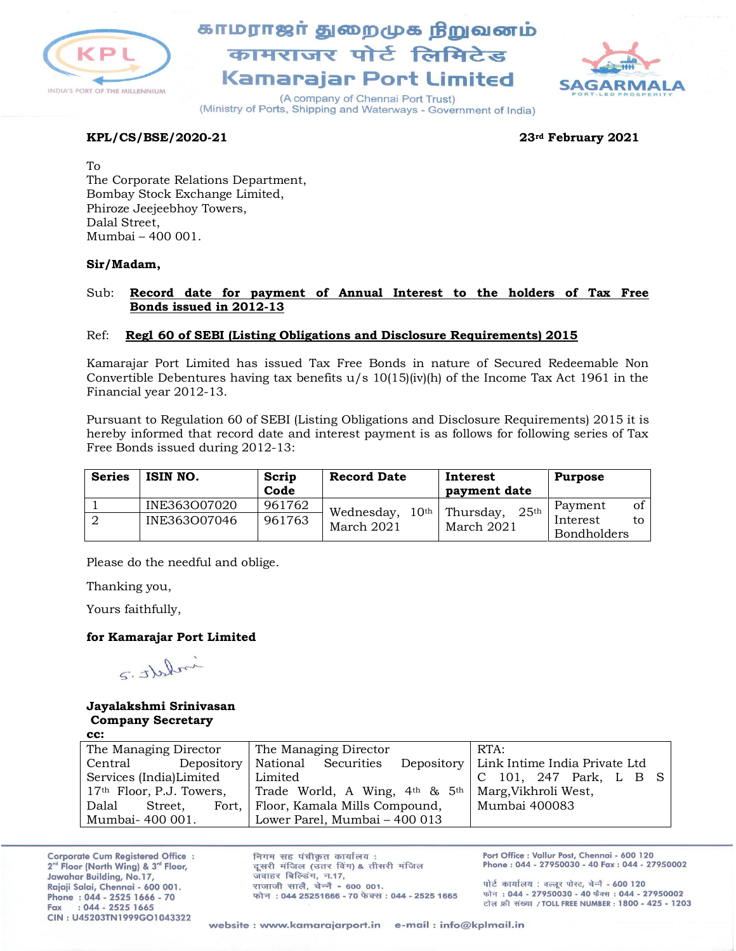

## காமராஜர் துறைமுக நிறுவனம் कामराजर पोर्ट लिमिटेड **Kamarajar Port Limited**



(A company of Chennai Port Trust) (Ministry of Ports, Shipping and Waterways - Government of India)

### **KPL/CS/BSE/2020-21 23rd February 2021**

To The Corporate Relations Department, Bombay Stock Exchange Limited, Phiroze Jeejeebhoy Towers, Dalal Street, Mumbai – 400 001.

### **Sir/Madam,**

### Sub: **Record date for payment of Annual Interest to the holders of Tax Free Bonds issued in 2012-13**

### Ref: **Regl 60 of SEBI (Listing Obligations and Disclosure Requirements) 2015**

Kamarajar Port Limited has issued Tax Free Bonds in nature of Secured Redeemable Non Convertible Debentures having tax benefits  $u/s$  10(15)(iv)(h) of the Income Tax Act 1961 in the Financial year 2012-13.

Pursuant to Regulation 60 of SEBI (Listing Obligations and Disclosure Requirements) 2015 it is hereby informed that record date and interest payment is as follows for following series of Tax Free Bonds issued during 2012-13:

| <b>Series</b> | ISIN NO.     | Scrip<br>Code | <b>Record Date</b>          | Interest<br>payment date      | <b>Purpose</b>     |
|---------------|--------------|---------------|-----------------------------|-------------------------------|--------------------|
|               | INE363O07020 | 961762        | $10^{\rm th}$<br>Wednesday, | Thursday,<br>25 <sup>th</sup> | of '<br>Payment    |
|               | INE363007046 | 961763        | March 2021                  | March 2021                    | Interest<br>to.    |
|               |              |               |                             |                               | <b>Bondholders</b> |

Please do the needful and oblige.

Thanking you,

Yours faithfully,

### **for Kamarajar Port Limited**

inhatt.

### **Jayalakshmi Srinivasan Company Secretary**

**cc:**

| The Managing Director      | The Managing Director                                                       | RTA:                                       |
|----------------------------|-----------------------------------------------------------------------------|--------------------------------------------|
| Depository<br>Central      | National Securities                                                         | Depository   Link Intime India Private Ltd |
| Services (India)Limited    | Limited                                                                     | C 101, 247 Park, L B S                     |
| $17th$ Floor, P.J. Towers, | Trade World, A Wing, 4 <sup>th</sup> & 5 <sup>th</sup> Marg, Vikhroli West, |                                            |
| Dalal<br>Street.           | Fort, Floor, Kamala Mills Compound,                                         | Mumbai 400083                              |
| Mumbai- 400 001.           | Lower Parel, Mumbai - 400 013                                               |                                            |

**Corporate Cum Registered Office:** 2<sup>nd</sup> Floor (North Wing) & 3<sup>rd</sup> Floor, Jawahar Building, No.17, Rajaji Salai, Chennai - 600 001. Phone: 044 - 2525 1666 - 70  $: 044 - 2525$  1665 Fax CIN: U45203TN1999GO1043322

निगम सह पंचीकृत कार्यालय: दूसरी मंजिल (उतर विंग) & तीसरी मंजिल जवाहर बिल्डिंग, न.17, राजाजी सालै. चेन्नै - 600 001. फोन: 044 25251666 - 70 फेक्स: 044 - 2525 1665 Port Office : Vallur Post, Chennai - 600 120 Phone: 044 - 27950030 - 40 Fax: 044 - 27950002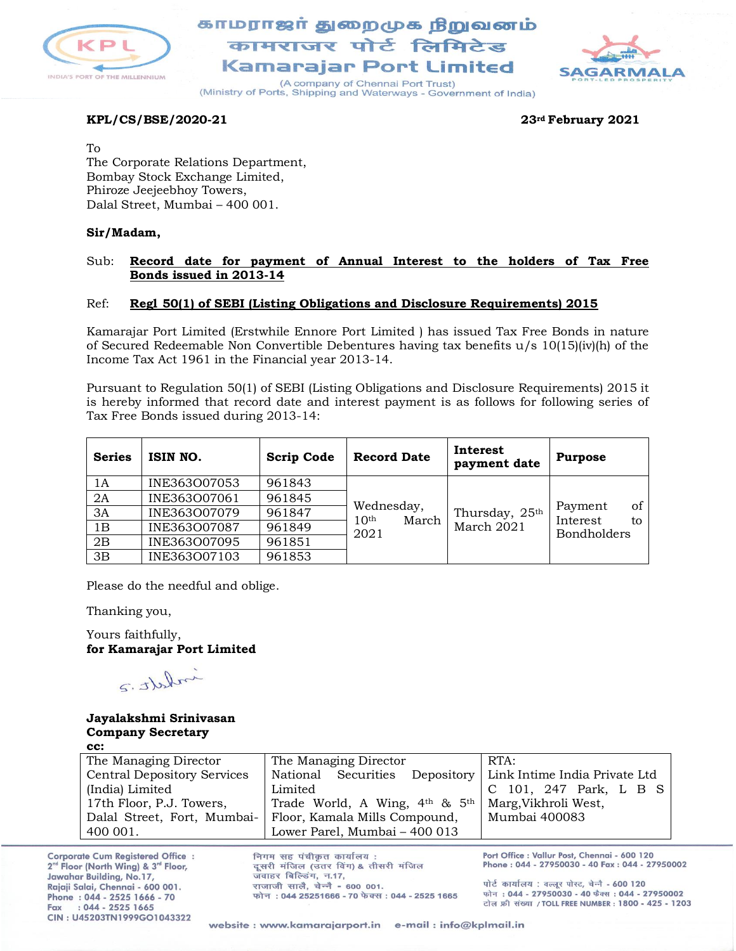

## காமராஜர் துறைமுக நிறுவனம் कामराजर पोर्ट लिमिटेड Kamaraiar Port Limited



(A company of Chennai Port Trust) (Ministry of Ports, Shipping and Waterways - Government of India)

### **KPL/CS/BSE/2020-21 23rd February 2021**

To

The Corporate Relations Department, Bombay Stock Exchange Limited, Phiroze Jeejeebhoy Towers, Dalal Street, Mumbai – 400 001.

### **Sir/Madam,**

### Sub: **Record date for payment of Annual Interest to the holders of Tax Free Bonds issued in 2013-14**

### Ref: **Regl 50(1) of SEBI (Listing Obligations and Disclosure Requirements) 2015**

Kamarajar Port Limited (Erstwhile Ennore Port Limited ) has issued Tax Free Bonds in nature of Secured Redeemable Non Convertible Debentures having tax benefits u/s 10(15)(iv)(h) of the Income Tax Act 1961 in the Financial year 2013-14.

Pursuant to Regulation 50(1) of SEBI (Listing Obligations and Disclosure Requirements) 2015 it is hereby informed that record date and interest payment is as follows for following series of Tax Free Bonds issued during 2013-14:

| <b>Series</b> | ISIN NO.     | <b>Scrip Code</b> | <b>Record Date</b>                      | Interest<br>payment date | <b>Purpose</b>            |
|---------------|--------------|-------------------|-----------------------------------------|--------------------------|---------------------------|
| 1Α            | INE363007053 | 961843            |                                         |                          |                           |
| 2A            | INE363007061 | 961845            |                                         |                          |                           |
| 3A            | INE363007079 | 961847            | Wednesday,<br>March<br>10 <sup>th</sup> | Thursday, 25th           | οf<br>Payment<br>Interest |
| 1B            | INE363007087 | 961849            | 2021                                    | March 2021               | to<br><b>Bondholders</b>  |
| 2B            | INE363O07095 | 961851            |                                         |                          |                           |
| 3B            | INE363007103 | 961853            |                                         |                          |                           |

Please do the needful and oblige.

Thanking you,

Yours faithfully, **for Kamarajar Port Limited**

indett.2

#### **Jayalakshmi Srinivasan Company Secretary cc:**

| The Managing Director              | The Managing Director                                          | RTA:                   |
|------------------------------------|----------------------------------------------------------------|------------------------|
| <b>Central Depository Services</b> | National Securities Depository   Link Intime India Private Ltd |                        |
| (India) Limited                    | Limited                                                        | C 101, 247 Park, L B S |
| 17th Floor, P.J. Towers,           | Trade World, A Wing, $4th$ & $5th$                             | Marg, Vikhroli West,   |
| Dalal Street, Fort, Mumbai-        | Floor, Kamala Mills Compound,                                  | Mumbai 400083          |
| 400 001.                           | Lower Parel, Mumbai - 400 013                                  |                        |

**Corporate Cum Registered Office:** 2<sup>nd</sup> Floor (North Wing) & 3<sup>rd</sup> Floor, Jawahar Building, No.17, Rajaji Salai, Chennai - 600 001. Phone: 044 - 2525 1666 - 70  $: 044 - 2525$  1665 Fax CIN: U45203TN1999GO1043322

निगम सह पंचीकृत कार्यालय: दूसरी मंजिल (उतर विंग) & तीसरी मंजिल जवाहर बिल्डिंग, न.17, राजाजी सालै. चेन्नै - 600 001. फोन: 044 25251666 - 70 फेक्स: 044 - 2525 1665 Port Office : Vallur Post, Chennai - 600 120 Phone: 044 - 27950030 - 40 Fax: 044 - 27950002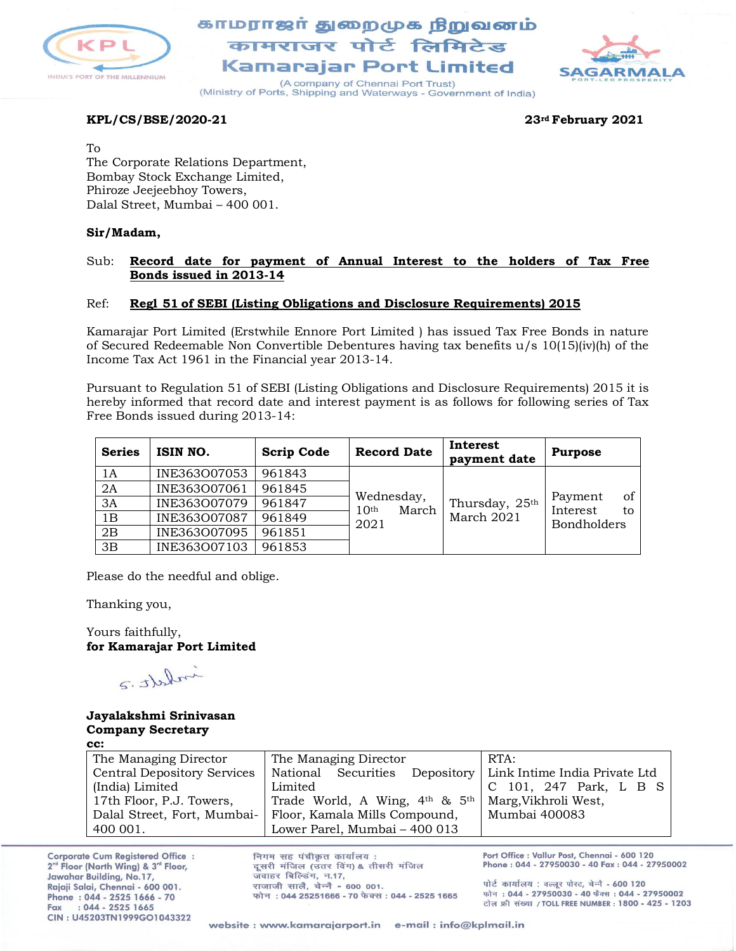

## காமராஜா் துறைமுக நிறுவனம் कामराजर पोर्ट लिमिटेड Kamaraiar Port Limited



(A company of Chennai Port Trust) (Ministry of Ports, Shipping and Waterways - Government of India)

### **KPL/CS/BSE/2020-21 23rd February 2021**

To

The Corporate Relations Department, Bombay Stock Exchange Limited, Phiroze Jeejeebhoy Towers, Dalal Street, Mumbai – 400 001.

### **Sir/Madam,**

### Sub: **Record date for payment of Annual Interest to the holders of Tax Free Bonds issued in 2013-14**

### Ref: **Regl 51 of SEBI (Listing Obligations and Disclosure Requirements) 2015**

Kamarajar Port Limited (Erstwhile Ennore Port Limited ) has issued Tax Free Bonds in nature of Secured Redeemable Non Convertible Debentures having tax benefits u/s 10(15)(iv)(h) of the Income Tax Act 1961 in the Financial year 2013-14.

Pursuant to Regulation 51 of SEBI (Listing Obligations and Disclosure Requirements) 2015 it is hereby informed that record date and interest payment is as follows for following series of Tax Free Bonds issued during 2013-14:

| <b>Series</b> | ISIN NO.     | <b>Scrip Code</b> | <b>Record Date</b>                      | Interest<br>payment date | <b>Purpose</b>            |
|---------------|--------------|-------------------|-----------------------------------------|--------------------------|---------------------------|
| 1A            | INE363007053 | 961843            |                                         |                          |                           |
| 2A            | INE363O07061 | 961845            |                                         |                          |                           |
| 3A            | INE363O07079 | 961847            | Wednesday,<br>March<br>10 <sup>th</sup> | Thursday, 25th           | of<br>Payment<br>Interest |
| 1B            | INE363O07087 | 961849            | 2021                                    | March 2021               | to<br><b>Bondholders</b>  |
| 2B            | INE363007095 | 961851            |                                         |                          |                           |
| 3B            | INE363007103 | 961853            |                                         |                          |                           |

Please do the needful and oblige.

Thanking you,

Yours faithfully, **for Kamarajar Port Limited**

infect: 2

#### **Jayalakshmi Srinivasan Company Secretary cc:**

| .                                  |                                                                |                        |
|------------------------------------|----------------------------------------------------------------|------------------------|
| The Managing Director              | The Managing Director                                          | RTA:                   |
| <b>Central Depository Services</b> | National Securities Depository   Link Intime India Private Ltd |                        |
| (India) Limited                    | Limited                                                        | C 101, 247 Park, L B S |
| 17th Floor, P.J. Towers,           | Trade World, A Wing, 4th & 5th                                 | Marg, Vikhroli West,   |
| Dalal Street, Fort, Mumbai-        | Floor, Kamala Mills Compound,                                  | Mumbai 400083          |
| 400 001.                           | Lower Parel, Mumbai - 400 013                                  |                        |

**Corporate Cum Registered Office:** 2<sup>nd</sup> Floor (North Wing) & 3<sup>rd</sup> Floor, Jawahar Building, No.17, Rajaji Salai, Chennai - 600 001. Phone: 044 - 2525 1666 - 70  $: 044 - 2525$  1665 Fax CIN: U45203TN1999GO1043322

निगम सह पंचीकृत कार्यालय: दूसरी मंजिल (उतर विंग) & तीसरी मंजिल जवाहर बिल्डिंग, न.17, राजाजी सालै. चेन्नै - 600 001. फोन: 044 25251666 - 70 फेक्स: 044 - 2525 1665 Port Office : Vallur Post, Chennai - 600 120 Phone: 044 - 27950030 - 40 Fax: 044 - 27950002